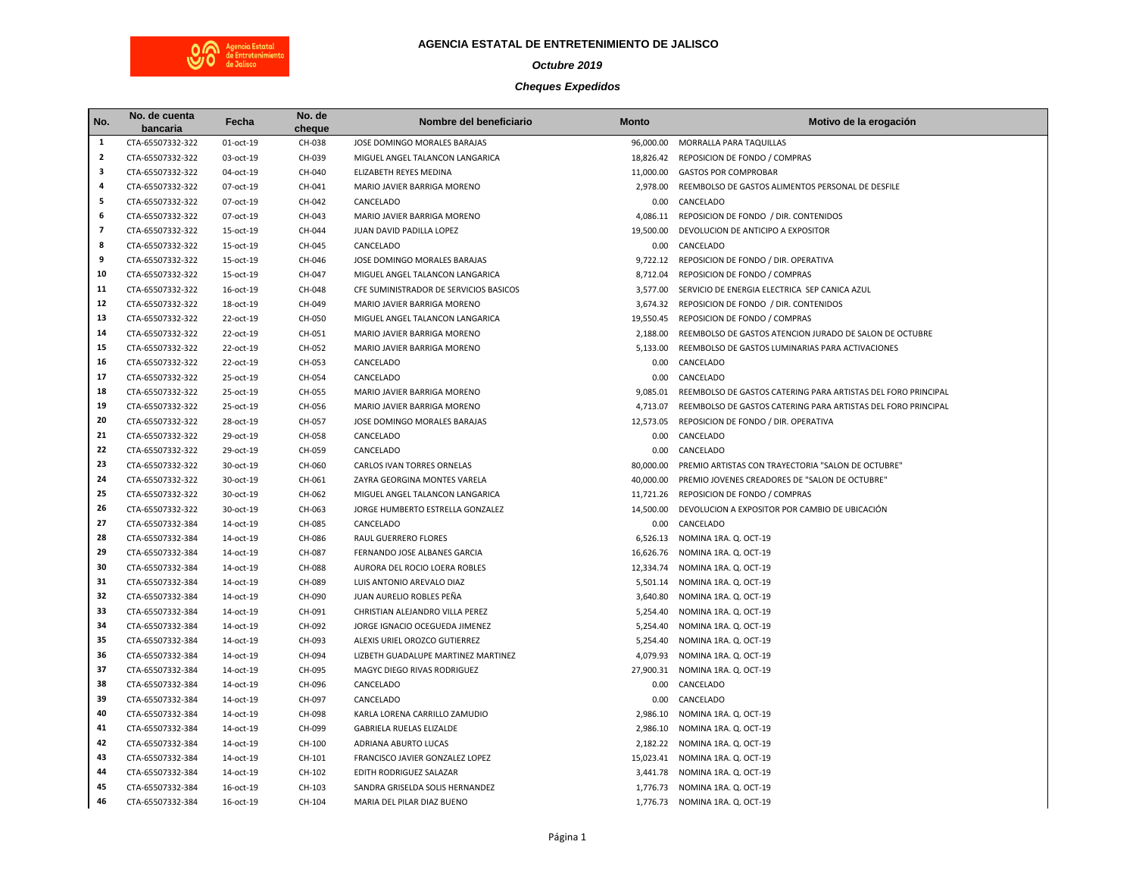

## **AGENCIA ESTATAL DE ENTRETENIMIENTO DE JALISCO**

## *Octubre 2019*

## *Cheques Expedidos*

| No.            | No. de cuenta<br>bancaria | Fecha     | No. de<br>cheque | Nombre del beneficiario                | <b>Monto</b> | Motivo de la erogación                                        |
|----------------|---------------------------|-----------|------------------|----------------------------------------|--------------|---------------------------------------------------------------|
| 1              | CTA-65507332-322          | 01-oct-19 | CH-038           | JOSE DOMINGO MORALES BARAJAS           | 96,000.00    | MORRALLA PARA TAQUILLAS                                       |
| $\overline{2}$ | CTA-65507332-322          | 03-oct-19 | CH-039           | MIGUEL ANGEL TALANCON LANGARICA        | 18,826.42    | REPOSICION DE FONDO / COMPRAS                                 |
| 3              | CTA-65507332-322          | 04-oct-19 | CH-040           | ELIZABETH REYES MEDINA                 |              | 11,000.00 GASTOS POR COMPROBAR                                |
| 4              | CTA-65507332-322          | 07-oct-19 | CH-041           | MARIO JAVIER BARRIGA MORENO            | 2,978.00     | REEMBOLSO DE GASTOS ALIMENTOS PERSONAL DE DESFILE             |
| 5              | CTA-65507332-322          | 07-oct-19 | CH-042           | CANCELADO                              | 0.00         | CANCELADO                                                     |
| 6              | CTA-65507332-322          | 07-oct-19 | CH-043           | MARIO JAVIER BARRIGA MORENO            | 4,086.11     | REPOSICION DE FONDO / DIR. CONTENIDOS                         |
| $\overline{7}$ | CTA-65507332-322          | 15-oct-19 | CH-044           | JUAN DAVID PADILLA LOPEZ               | 19,500.00    | DEVOLUCION DE ANTICIPO A EXPOSITOR                            |
| 8              | CTA-65507332-322          | 15-oct-19 | CH-045           | CANCELADO                              | 0.00         | CANCELADO                                                     |
| 9              | CTA-65507332-322          | 15-oct-19 | CH-046           | JOSE DOMINGO MORALES BARAJAS           | 9,722.12     | REPOSICION DE FONDO / DIR. OPERATIVA                          |
| 10             | CTA-65507332-322          | 15-oct-19 | CH-047           | MIGUEL ANGEL TALANCON LANGARICA        | 8,712.04     | REPOSICION DE FONDO / COMPRAS                                 |
| 11             | CTA-65507332-322          | 16-oct-19 | CH-048           | CFE SUMINISTRADOR DE SERVICIOS BASICOS | 3,577.00     | SERVICIO DE ENERGIA ELECTRICA SEP CANICA AZUL                 |
| 12             | CTA-65507332-322          | 18-oct-19 | CH-049           | MARIO JAVIER BARRIGA MORENO            | 3,674.32     | REPOSICION DE FONDO / DIR. CONTENIDOS                         |
| 13             | CTA-65507332-322          | 22-oct-19 | CH-050           | MIGUEL ANGEL TALANCON LANGARICA        | 19,550.45    | REPOSICION DE FONDO / COMPRAS                                 |
| 14             | CTA-65507332-322          | 22-oct-19 | CH-051           | MARIO JAVIER BARRIGA MORENO            | 2,188.00     | REEMBOLSO DE GASTOS ATENCION JURADO DE SALON DE OCTUBRE       |
| 15             | CTA-65507332-322          | 22-oct-19 | CH-052           | MARIO JAVIER BARRIGA MORENO            | 5,133.00     | REEMBOLSO DE GASTOS LUMINARIAS PARA ACTIVACIONES              |
| 16             | CTA-65507332-322          | 22-oct-19 | CH-053           | CANCELADO                              | 0.00         | CANCELADO                                                     |
| 17             | CTA-65507332-322          | 25-oct-19 | CH-054           | CANCELADO                              | 0.00         | CANCELADO                                                     |
| 18             | CTA-65507332-322          | 25-oct-19 | CH-055           | MARIO JAVIER BARRIGA MORENO            | 9,085.01     | REEMBOLSO DE GASTOS CATERING PARA ARTISTAS DEL FORO PRINCIPAL |
| 19             | CTA-65507332-322          | 25-oct-19 | CH-056           | MARIO JAVIER BARRIGA MORENO            | 4,713.07     | REEMBOLSO DE GASTOS CATERING PARA ARTISTAS DEL FORO PRINCIPAL |
| 20             | CTA-65507332-322          | 28-oct-19 | CH-057           | JOSE DOMINGO MORALES BARAJAS           | 12,573.05    | REPOSICION DE FONDO / DIR. OPERATIVA                          |
| 21             | CTA-65507332-322          | 29-oct-19 | CH-058           | CANCELADO                              | 0.00         | CANCELADO                                                     |
| 22             | CTA-65507332-322          | 29-oct-19 | CH-059           | CANCELADO                              | 0.00         | CANCELADO                                                     |
| 23             | CTA-65507332-322          | 30-oct-19 | CH-060           | CARLOS IVAN TORRES ORNELAS             | 80,000.00    | PREMIO ARTISTAS CON TRAYECTORIA "SALON DE OCTUBRE"            |
| 24             | CTA-65507332-322          | 30-oct-19 | CH-061           | ZAYRA GEORGINA MONTES VARELA           | 40,000.00    | PREMIO JOVENES CREADORES DE "SALON DE OCTUBRE"                |
| 25             | CTA-65507332-322          | 30-oct-19 | CH-062           | MIGUEL ANGEL TALANCON LANGARICA        | 11,721.26    | REPOSICION DE FONDO / COMPRAS                                 |
| 26             | CTA-65507332-322          | 30-oct-19 | CH-063           | JORGE HUMBERTO ESTRELLA GONZALEZ       | 14,500.00    | DEVOLUCION A EXPOSITOR POR CAMBIO DE UBICACIÓN                |
| 27             | CTA-65507332-384          | 14-oct-19 | CH-085           | CANCELADO                              | 0.00         | CANCELADO                                                     |
| 28             | CTA-65507332-384          | 14-oct-19 | CH-086           | RAUL GUERRERO FLORES                   | 6,526.13     | NOMINA 1RA. Q. OCT-19                                         |
| 29             | CTA-65507332-384          | 14-oct-19 | CH-087           | FERNANDO JOSE ALBANES GARCIA           | 16,626.76    | NOMINA 1RA. Q. OCT-19                                         |
| 30             | CTA-65507332-384          | 14-oct-19 | CH-088           | AURORA DEL ROCIO LOERA ROBLES          | 12,334.74    | NOMINA 1RA. Q. OCT-19                                         |
| 31             | CTA-65507332-384          | 14-oct-19 | CH-089           | LUIS ANTONIO AREVALO DIAZ              | 5,501.14     | NOMINA 1RA. Q. OCT-19                                         |
| 32             | CTA-65507332-384          | 14-oct-19 | CH-090           | JUAN AURELIO ROBLES PEÑA               | 3,640.80     | NOMINA 1RA. Q. OCT-19                                         |
| 33             | CTA-65507332-384          | 14-oct-19 | CH-091           | CHRISTIAN ALEJANDRO VILLA PEREZ        | 5,254.40     | NOMINA 1RA. Q. OCT-19                                         |
| 34             | CTA-65507332-384          | 14-oct-19 | CH-092           | JORGE IGNACIO OCEGUEDA JIMENEZ         | 5,254.40     | NOMINA 1RA. Q. OCT-19                                         |
| 35             | CTA-65507332-384          | 14-oct-19 | CH-093           | ALEXIS URIEL OROZCO GUTIERREZ          | 5,254.40     | NOMINA 1RA. Q. OCT-19                                         |
| 36             | CTA-65507332-384          | 14-oct-19 | CH-094           | LIZBETH GUADALUPE MARTINEZ MARTINEZ    | 4,079.93     | NOMINA 1RA. Q. OCT-19                                         |
| 37             | CTA-65507332-384          | 14-oct-19 | CH-095           | MAGYC DIEGO RIVAS RODRIGUEZ            | 27,900.31    | NOMINA 1RA. Q. OCT-19                                         |
| 38             | CTA-65507332-384          | 14-oct-19 | CH-096           | CANCELADO                              | 0.00         | CANCELADO                                                     |
| 39<br>40       | CTA-65507332-384          | 14-oct-19 | CH-097           | CANCELADO                              | 0.00         | CANCELADO                                                     |
|                | CTA-65507332-384          | 14-oct-19 | CH-098           | KARLA LORENA CARRILLO ZAMUDIO          | 2,986.10     | NOMINA 1RA. Q. OCT-19                                         |
| 41             | CTA-65507332-384          | 14-oct-19 | CH-099           | <b>GABRIELA RUELAS ELIZALDE</b>        | 2,986.10     | NOMINA 1RA. Q. OCT-19                                         |
| 42             | CTA-65507332-384          | 14-oct-19 | CH-100           | ADRIANA ABURTO LUCAS                   | 2,182.22     | NOMINA 1RA. Q. OCT-19                                         |
| 43             | CTA-65507332-384          | 14-oct-19 | CH-101           | FRANCISCO JAVIER GONZALEZ LOPEZ        | 15,023.41    | NOMINA 1RA. Q. OCT-19                                         |
| 44<br>45       | CTA-65507332-384          | 14-oct-19 | CH-102           | EDITH RODRIGUEZ SALAZAR                | 3,441.78     | NOMINA 1RA. Q. OCT-19                                         |
| 46             | CTA-65507332-384          | 16-oct-19 | CH-103           | SANDRA GRISELDA SOLIS HERNANDEZ        |              | 1,776.73 NOMINA 1RA. Q. OCT-19                                |
|                | CTA-65507332-384          | 16-oct-19 | CH-104           | MARIA DEL PILAR DIAZ BUENO             |              | 1,776.73 NOMINA 1RA. Q. OCT-19                                |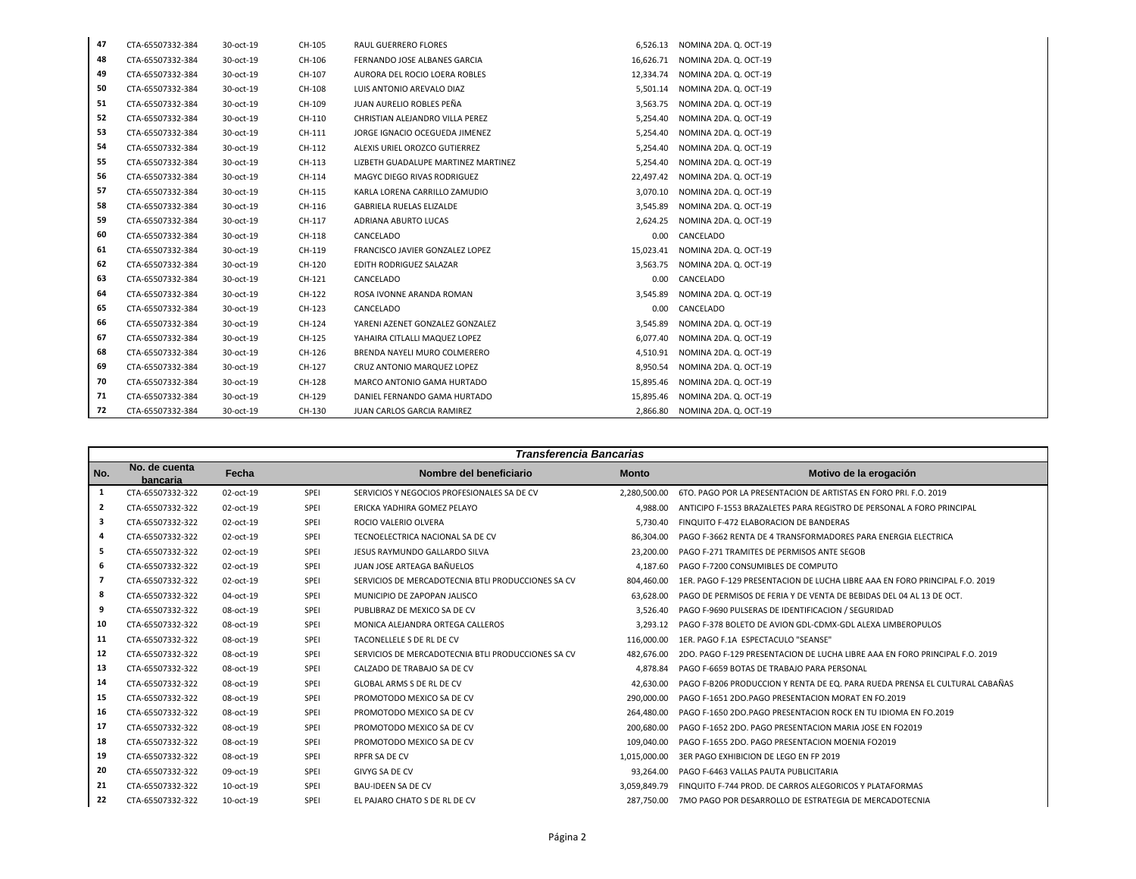| 47 | CTA-65507332-384 | 30-oct-19 | CH-105 | <b>RAUL GUERRERO FLORES</b>         | 6.526.13  | NOMINA 2DA, Q. OCT-19           |
|----|------------------|-----------|--------|-------------------------------------|-----------|---------------------------------|
| 48 | CTA-65507332-384 | 30-oct-19 | CH-106 | FERNANDO JOSE ALBANES GARCIA        |           | 16,626.71 NOMINA 2DA. Q. OCT-19 |
| 49 | CTA-65507332-384 | 30-oct-19 | CH-107 | AURORA DEL ROCIO LOERA ROBLES       |           | 12,334.74 NOMINA 2DA. Q. OCT-19 |
| 50 | CTA-65507332-384 | 30-oct-19 | CH-108 | LUIS ANTONIO AREVALO DIAZ           |           | 5.501.14 NOMINA 2DA, Q. OCT-19  |
| 51 | CTA-65507332-384 | 30-oct-19 | CH-109 | JUAN AURELIO ROBLES PEÑA            | 3.563.75  | NOMINA 2DA. Q. OCT-19           |
| 52 | CTA-65507332-384 | 30-oct-19 | CH-110 | CHRISTIAN ALEJANDRO VILLA PEREZ     | 5.254.40  | NOMINA 2DA. Q. OCT-19           |
| 53 | CTA-65507332-384 | 30-oct-19 | CH-111 | JORGE IGNACIO OCEGUEDA JIMENEZ      | 5,254.40  | NOMINA 2DA. Q. OCT-19           |
| 54 | CTA-65507332-384 | 30-oct-19 | CH-112 | ALEXIS URIEL OROZCO GUTIERREZ       | 5.254.40  | NOMINA 2DA. Q. OCT-19           |
| 55 | CTA-65507332-384 | 30-oct-19 | CH-113 | LIZBETH GUADALUPE MARTINEZ MARTINEZ | 5,254.40  | NOMINA 2DA. Q. OCT-19           |
| 56 | CTA-65507332-384 | 30-oct-19 | CH-114 | MAGYC DIEGO RIVAS RODRIGUEZ         | 22,497.42 | NOMINA 2DA. Q. OCT-19           |
| 57 | CTA-65507332-384 | 30-oct-19 | CH-115 | KARLA LORENA CARRILLO ZAMUDIO       |           | 3,070.10 NOMINA 2DA. Q. OCT-19  |
| 58 | CTA-65507332-384 | 30-oct-19 | CH-116 | <b>GABRIELA RUELAS ELIZALDE</b>     | 3,545.89  | NOMINA 2DA. Q. OCT-19           |
| 59 | CTA-65507332-384 | 30-oct-19 | CH-117 | ADRIANA ABURTO LUCAS                | 2.624.25  | NOMINA 2DA. Q. OCT-19           |
| 60 | CTA-65507332-384 | 30-oct-19 | CH-118 | CANCELADO                           | 0.00      | CANCELADO                       |
| 61 | CTA-65507332-384 | 30-oct-19 | CH-119 | FRANCISCO JAVIER GONZALEZ LOPEZ     | 15.023.41 | NOMINA 2DA, Q. OCT-19           |
| 62 | CTA-65507332-384 | 30-oct-19 | CH-120 | EDITH RODRIGUEZ SALAZAR             |           | 3.563.75 NOMINA 2DA, Q. OCT-19  |
| 63 | CTA-65507332-384 | 30-oct-19 | CH-121 | CANCELADO                           | 0.00      | CANCELADO                       |
| 64 | CTA-65507332-384 | 30-oct-19 | CH-122 | ROSA IVONNE ARANDA ROMAN            | 3,545.89  | NOMINA 2DA. Q. OCT-19           |
| 65 | CTA-65507332-384 | 30-oct-19 | CH-123 | CANCELADO                           | 0.00      | CANCELADO                       |
| 66 | CTA-65507332-384 | 30-oct-19 | CH-124 | YARENI AZENET GONZALEZ GONZALEZ     | 3.545.89  | NOMINA 2DA, Q. OCT-19           |
| 67 | CTA-65507332-384 | 30-oct-19 | CH-125 | YAHAIRA CITLALLI MAQUEZ LOPEZ       |           | 6,077.40 NOMINA 2DA. Q. OCT-19  |
| 68 | CTA-65507332-384 | 30-oct-19 | CH-126 | BRENDA NAYELI MURO COLMERERO        | 4,510.91  | NOMINA 2DA. Q. OCT-19           |
| 69 | CTA-65507332-384 | 30-oct-19 | CH-127 | CRUZ ANTONIO MARQUEZ LOPEZ          | 8,950.54  | NOMINA 2DA. Q. OCT-19           |
| 70 | CTA-65507332-384 | 30-oct-19 | CH-128 | MARCO ANTONIO GAMA HURTADO          | 15.895.46 | NOMINA 2DA. Q. OCT-19           |
| 71 | CTA-65507332-384 | 30-oct-19 | CH-129 | DANIEL FERNANDO GAMA HURTADO        | 15,895.46 | NOMINA 2DA. Q. OCT-19           |
| 72 | CTA-65507332-384 | 30-oct-19 | CH-130 | JUAN CARLOS GARCIA RAMIREZ          |           | 2,866.80 NOMINA 2DA. Q. OCT-19  |

|                | <b>Transferencia Bancarias</b> |           |      |                                                    |              |                                                                             |
|----------------|--------------------------------|-----------|------|----------------------------------------------------|--------------|-----------------------------------------------------------------------------|
| No.            | No. de cuenta<br>bancaria      | Fecha     |      | Nombre del beneficiario                            | <b>Monto</b> | Motivo de la erogación                                                      |
| 1              | CTA-65507332-322               | 02-oct-19 | SPEI | SERVICIOS Y NEGOCIOS PROFESIONALES SA DE CV        | 2.280.500.00 | 6TO, PAGO POR LA PRESENTACION DE ARTISTAS EN FORO PRI, F.O. 2019            |
| $\overline{2}$ | CTA-65507332-322               | 02-oct-19 | SPEI | ERICKA YADHIRA GOMEZ PELAYO                        | 4.988.00     | ANTICIPO F-1553 BRAZALETES PARA REGISTRO DE PERSONAL A FORO PRINCIPAL       |
| 3              | CTA-65507332-322               | 02-oct-19 | SPEI | ROCIO VALERIO OLVERA                               | 5.730.40     | FINQUITO F-472 ELABORACION DE BANDERAS                                      |
| 4              | CTA-65507332-322               | 02-oct-19 | SPEI | TECNOELECTRICA NACIONAL SA DE CV                   | 86.304.00    | PAGO F-3662 RENTA DE 4 TRANSFORMADORES PARA ENERGIA ELECTRICA               |
| 5              | CTA-65507332-322               | 02-oct-19 | SPEI | JESUS RAYMUNDO GALLARDO SILVA                      | 23,200.00    | PAGO F-271 TRAMITES DE PERMISOS ANTE SEGOB                                  |
| 6              | CTA-65507332-322               | 02-oct-19 | SPEI | JUAN JOSE ARTEAGA BAÑUELOS                         | 4,187.60     | PAGO F-7200 CONSUMIBLES DE COMPUTO                                          |
| 7              | CTA-65507332-322               | 02-oct-19 | SPEI | SERVICIOS DE MERCADOTECNIA BTLI PRODUCCIONES SA CV | 804.460.00   | 1ER. PAGO F-129 PRESENTACION DE LUCHA LIBRE AAA EN FORO PRINCIPAL F.O. 2019 |
| 8              | CTA-65507332-322               | 04-oct-19 | SPEI | MUNICIPIO DE ZAPOPAN JALISCO                       | 63.628.00    | PAGO DE PERMISOS DE FERIA Y DE VENTA DE BEBIDAS DEL 04 AL 13 DE OCT.        |
| 9              | CTA-65507332-322               | 08-oct-19 | SPEI | PUBLIBRAZ DE MEXICO SA DE CV                       | 3.526.40     | PAGO F-9690 PULSERAS DE IDENTIFICACION / SEGURIDAD                          |
| 10             | CTA-65507332-322               | 08-oct-19 | SPEI | MONICA ALEJANDRA ORTEGA CALLEROS                   | 3.293.12     | PAGO F-378 BOLFTO DE AVION GDL-CDMX-GDL ALEXA LIMBEROPULOS                  |
| 11             | CTA-65507332-322               | 08-oct-19 | SPEI | TACONELLELE S DE RL DE CV                          | 116.000.00   | 1ER. PAGO F.1A ESPECTACULO "SEANSE"                                         |
| 12             | CTA-65507332-322               | 08-oct-19 | SPEI | SERVICIOS DE MERCADOTECNIA BTLI PRODUCCIONES SA CV | 482.676.00   | 2DO. PAGO F-129 PRESENTACION DE LUCHA LIBRE AAA EN FORO PRINCIPAL F.O. 2019 |
| 13             | CTA-65507332-322               | 08-oct-19 | SPEI | CALZADO DE TRABAJO SA DE CV                        | 4.878.84     | PAGO F-6659 BOTAS DE TRABAJO PARA PERSONAL                                  |
| 14             | CTA-65507332-322               | 08-oct-19 | SPEI | <b>GLOBAL ARMS S DE RL DE CV</b>                   | 42.630.00    | PAGO F-B206 PRODUCCION Y RENTA DE EQ. PARA RUEDA PRENSA EL CULTURAL CABAÑAS |
| 15             | CTA-65507332-322               | 08-oct-19 | SPEI | PROMOTODO MEXICO SA DE CV                          | 290.000.00   | PAGO F-1651 2DO.PAGO PRESENTACION MORAT EN FO.2019                          |
| 16             | CTA-65507332-322               | 08-oct-19 | SPEI | PROMOTODO MEXICO SA DE CV                          | 264,480.00   | PAGO F-1650 2DO.PAGO PRESENTACION ROCK EN TU IDIOMA EN FO.2019              |
| 17             | CTA-65507332-322               | 08-oct-19 | SPEI | PROMOTODO MEXICO SA DE CV                          | 200,680.00   | PAGO F-1652 2DO. PAGO PRESENTACION MARIA JOSE EN FO2019                     |
| 18             | CTA-65507332-322               | 08-oct-19 | SPEI | PROMOTODO MEXICO SA DE CV                          | 109,040.00   | PAGO F-1655 2DO. PAGO PRESENTACION MOENIA FO2019                            |
| 19             | CTA-65507332-322               | 08-oct-19 | SPEI | <b>RPFR SA DE CV</b>                               | 1.015.000.00 | 3ER PAGO EXHIBICION DE LEGO EN FP 2019                                      |
| 20             | CTA-65507332-322               | 09-oct-19 | SPEI | <b>GIVYG SA DE CV</b>                              | 93.264.00    | PAGO F-6463 VALLAS PAUTA PUBLICITARIA                                       |
| 21             | CTA-65507332-322               | 10-oct-19 | SPEI | <b>BAU-IDEEN SA DE CV</b>                          | 3.059.849.79 | FINQUITO F-744 PROD. DE CARROS ALEGORICOS Y PLATAFORMAS                     |
| 22             | CTA-65507332-322               | 10-oct-19 | SPEI | EL PAJARO CHATO S DE RL DE CV                      | 287.750.00   | 7MO PAGO POR DESARROLLO DE ESTRATEGIA DE MERCADOTECNIA                      |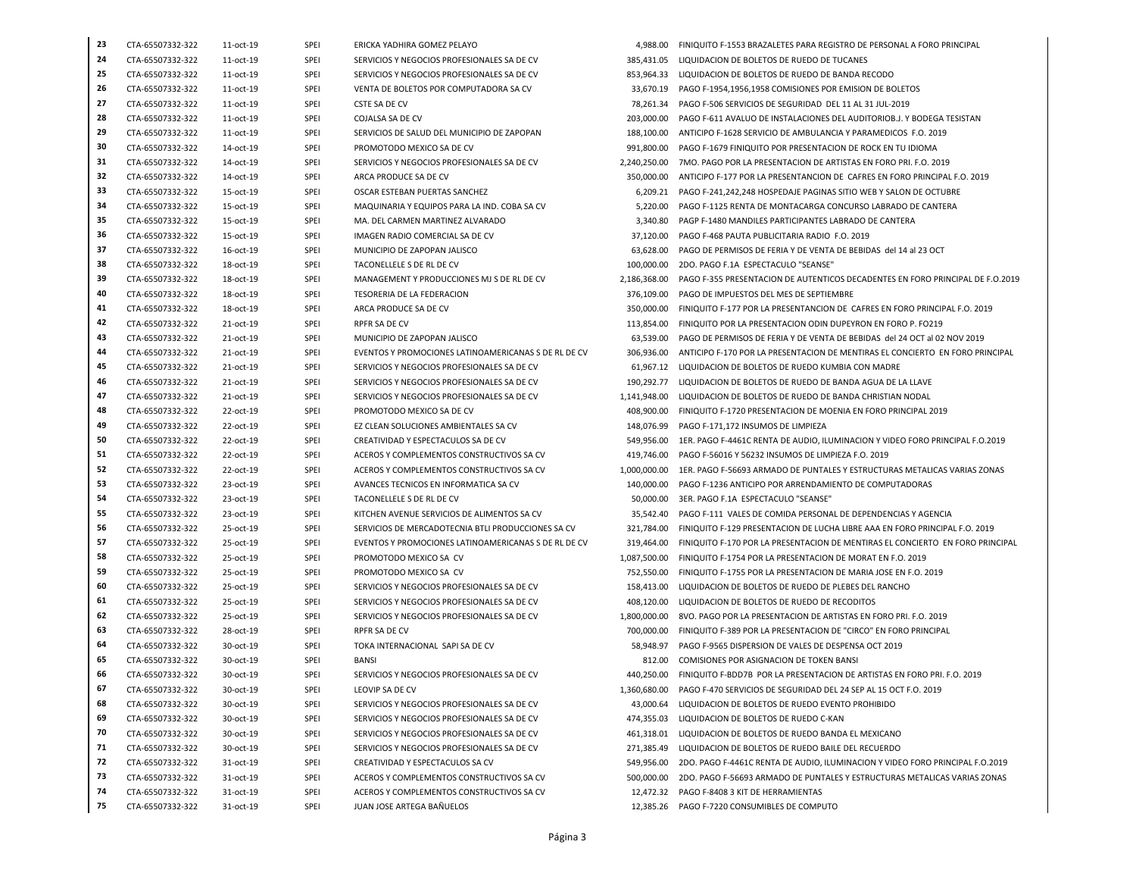| 23 | CTA-65507332-322 | 11-oct-19 | SPEI | ERICKA YADHIRA GOMEZ PELAYO                          | 4,988.00     | FINIQUITO F-1553 BRAZALETES PARA REGISTRO DE PERSONAL A FORO PRINCIPAL         |
|----|------------------|-----------|------|------------------------------------------------------|--------------|--------------------------------------------------------------------------------|
| 24 | CTA-65507332-322 | 11-oct-19 | SPEI | SERVICIOS Y NEGOCIOS PROFESIONALES SA DE CV          | 385,431.05   | LIQUIDACION DE BOLETOS DE RUEDO DE TUCANES                                     |
| 25 | CTA-65507332-322 | 11-oct-19 | SPEI | SERVICIOS Y NEGOCIOS PROFESIONALES SA DE CV          | 853,964.33   | LIQUIDACION DE BOLETOS DE RUEDO DE BANDA RECODO                                |
| 26 | CTA-65507332-322 | 11-oct-19 | SPEI | VENTA DE BOLETOS POR COMPUTADORA SA CV               | 33,670.19    | PAGO F-1954,1956,1958 COMISIONES POR EMISION DE BOLETOS                        |
| 27 | CTA-65507332-322 | 11-oct-19 | SPEI | CSTE SA DE CV                                        | 78,261.34    | PAGO F-506 SERVICIOS DE SEGURIDAD DEL 11 AL 31 JUL-2019                        |
| 28 | CTA-65507332-322 | 11-oct-19 | SPEI | COJALSA SA DE CV                                     | 203,000.00   | PAGO F-611 AVALUO DE INSTALACIONES DEL AUDITORIOB.J. Y BODEGA TESISTAN         |
| 29 | CTA-65507332-322 | 11-oct-19 | SPEI | SERVICIOS DE SALUD DEL MUNICIPIO DE ZAPOPAN          | 188,100.00   | ANTICIPO F-1628 SERVICIO DE AMBULANCIA Y PARAMEDICOS F.O. 2019                 |
| 30 | CTA-65507332-322 | 14-oct-19 | SPEI | PROMOTODO MEXICO SA DE CV                            | 991,800.00   | PAGO F-1679 FINIQUITO POR PRESENTACION DE ROCK EN TU IDIOMA                    |
| 31 | CTA-65507332-322 | 14-oct-19 | SPEI | SERVICIOS Y NEGOCIOS PROFESIONALES SA DE CV          | 2,240,250.00 | 7MO. PAGO POR LA PRESENTACION DE ARTISTAS EN FORO PRI. F.O. 2019               |
| 32 | CTA-65507332-322 | 14-oct-19 | SPEI | ARCA PRODUCE SA DE CV                                | 350,000.00   | ANTICIPO F-177 POR LA PRESENTANCION DE CAFRES EN FORO PRINCIPAL F.O. 2019      |
| 33 | CTA-65507332-322 | 15-oct-19 | SPEI | OSCAR ESTEBAN PUERTAS SANCHEZ                        | 6,209.21     | PAGO F-241,242,248 HOSPEDAJE PAGINAS SITIO WEB Y SALON DE OCTUBRE              |
| 34 | CTA-65507332-322 | 15-oct-19 | SPEI | MAQUINARIA Y EQUIPOS PARA LA IND. COBA SA CV         | 5,220.00     | PAGO F-1125 RENTA DE MONTACARGA CONCURSO LABRADO DE CANTERA                    |
| 35 | CTA-65507332-322 | 15-oct-19 | SPEI | MA. DEL CARMEN MARTINEZ ALVARADO                     | 3,340.80     | PAGP F-1480 MANDILES PARTICIPANTES LABRADO DE CANTERA                          |
| 36 | CTA-65507332-322 | 15-oct-19 | SPEI | IMAGEN RADIO COMERCIAL SA DE CV                      | 37,120.00    | PAGO F-468 PAUTA PUBLICITARIA RADIO F.O. 2019                                  |
| 37 | CTA-65507332-322 | 16-oct-19 | SPEI | MUNICIPIO DE ZAPOPAN JALISCO                         | 63,628.00    | PAGO DE PERMISOS DE FERIA Y DE VENTA DE BEBIDAS del 14 al 23 OCT               |
| 38 | CTA-65507332-322 | 18-oct-19 | SPEI | TACONELLELE S DE RL DE CV                            | 100,000.00   | 2DO. PAGO F.1A ESPECTACULO "SEANSE"                                            |
| 39 | CTA-65507332-322 | 18-oct-19 | SPEI | MANAGEMENT Y PRODUCCIONES MJ S DE RL DE CV           | 2,186,368.00 | PAGO F-355 PRESENTACION DE AUTENTICOS DECADENTES EN FORO PRINCIPAL DE F.O.2019 |
| 40 | CTA-65507332-322 | 18-oct-19 | SPEI | TESORERIA DE LA FEDERACION                           | 376,109.00   | PAGO DE IMPUESTOS DEL MES DE SEPTIEMBRE                                        |
| 41 | CTA-65507332-322 | 18-oct-19 | SPEI | ARCA PRODUCE SA DE CV                                | 350,000.00   | FINIQUITO F-177 POR LA PRESENTANCION DE CAFRES EN FORO PRINCIPAL F.O. 2019     |
| 42 | CTA-65507332-322 | 21-oct-19 | SPEI | RPFR SA DE CV                                        | 113,854.00   | FINIQUITO POR LA PRESENTACION ODIN DUPEYRON EN FORO P. FO219                   |
| 43 | CTA-65507332-322 | 21-oct-19 | SPEI | MUNICIPIO DE ZAPOPAN JALISCO                         | 63,539.00    | PAGO DE PERMISOS DE FERIA Y DE VENTA DE BEBIDAS del 24 OCT al 02 NOV 2019      |
| 44 | CTA-65507332-322 | 21-oct-19 | SPEI | EVENTOS Y PROMOCIONES LATINOAMERICANAS S DE RL DE CV | 306,936.00   | ANTICIPO F-170 POR LA PRESENTACION DE MENTIRAS EL CONCIERTO EN FORO PRINCIPAL  |
| 45 | CTA-65507332-322 | 21-oct-19 | SPEI | SERVICIOS Y NEGOCIOS PROFESIONALES SA DE CV          | 61,967.12    | LIQUIDACION DE BOLETOS DE RUEDO KUMBIA CON MADRE                               |
| 46 | CTA-65507332-322 | 21-oct-19 | SPEI | SERVICIOS Y NEGOCIOS PROFESIONALES SA DE CV          | 190,292.77   | LIQUIDACION DE BOLETOS DE RUEDO DE BANDA AGUA DE LA LLAVE                      |
| 47 | CTA-65507332-322 | 21-oct-19 | SPEI | SERVICIOS Y NEGOCIOS PROFESIONALES SA DE CV          | 1,141,948.00 | LIQUIDACION DE BOLETOS DE RUEDO DE BANDA CHRISTIAN NODAL                       |
| 48 | CTA-65507332-322 | 22-oct-19 | SPEI | PROMOTODO MEXICO SA DE CV                            | 408,900.00   | FINIQUITO F-1720 PRESENTACION DE MOENIA EN FORO PRINCIPAL 2019                 |
| 49 | CTA-65507332-322 | 22-oct-19 | SPEI | EZ CLEAN SOLUCIONES AMBIENTALES SA CV                | 148,076.99   | PAGO F-171.172 INSUMOS DE LIMPIEZA                                             |
| 50 | CTA-65507332-322 | 22-oct-19 | SPEI | CREATIVIDAD Y ESPECTACULOS SA DE CV                  | 549,956.00   | 1ER. PAGO F-4461C RENTA DE AUDIO, ILUMINACION Y VIDEO FORO PRINCIPAL F.O.2019  |
| 51 | CTA-65507332-322 | 22-oct-19 | SPEI | ACEROS Y COMPLEMENTOS CONSTRUCTIVOS SA CV            | 419,746.00   | PAGO F-56016 Y 56232 INSUMOS DE LIMPIEZA F.O. 2019                             |
| 52 | CTA-65507332-322 | 22-oct-19 | SPEI | ACEROS Y COMPLEMENTOS CONSTRUCTIVOS SA CV            | 1,000,000.00 | 1ER. PAGO F-56693 ARMADO DE PUNTALES Y ESTRUCTURAS METALICAS VARIAS ZONAS      |
| 53 | CTA-65507332-322 | 23-oct-19 | SPEI | AVANCES TECNICOS EN INFORMATICA SA CV                | 140,000.00   | PAGO F-1236 ANTICIPO POR ARRENDAMIENTO DE COMPUTADORAS                         |
| 54 | CTA-65507332-322 | 23-oct-19 | SPEI | TACONELLELE S DE RL DE CV                            | 50,000.00    | 3ER. PAGO F.1A ESPECTACULO "SEANSE"                                            |
| 55 | CTA-65507332-322 | 23-oct-19 | SPEI | KITCHEN AVENUE SERVICIOS DE ALIMENTOS SA CV          | 35,542.40    | PAGO F-111 VALES DE COMIDA PERSONAL DE DEPENDENCIAS Y AGENCIA                  |
| 56 | CTA-65507332-322 | 25-oct-19 | SPEI | SERVICIOS DE MERCADOTECNIA BTLI PRODUCCIONES SA CV   | 321,784.00   | FINIQUITO F-129 PRESENTACION DE LUCHA LIBRE AAA EN FORO PRINCIPAL F.O. 2019    |
| 57 | CTA-65507332-322 | 25-oct-19 | SPEI | EVENTOS Y PROMOCIONES LATINOAMERICANAS S DE RL DE CV | 319,464.00   | FINIQUITO F-170 POR LA PRESENTACION DE MENTIRAS EL CONCIERTO EN FORO PRINCIPAL |
| 58 | CTA-65507332-322 | 25-oct-19 | SPEI | PROMOTODO MEXICO SA CV                               | 1,087,500.00 | FINIQUITO F-1754 POR LA PRESENTACION DE MORAT EN F.O. 2019                     |
| 59 | CTA-65507332-322 | 25-oct-19 | SPEI | PROMOTODO MEXICO SA CV                               | 752,550.00   | FINIQUITO F-1755 POR LA PRESENTACION DE MARIA JOSE EN F.O. 2019                |
| 60 | CTA-65507332-322 | 25-oct-19 | SPEI | SERVICIOS Y NEGOCIOS PROFESIONALES SA DE CV          | 158,413.00   | LIQUIDACION DE BOLETOS DE RUEDO DE PLEBES DEL RANCHO                           |
| 61 | CTA-65507332-322 | 25-oct-19 | SPEI | SERVICIOS Y NEGOCIOS PROFESIONALES SA DE CV          | 408,120.00   | LIQUIDACION DE BOLETOS DE RUEDO DE RECODITOS                                   |
| 62 | CTA-65507332-322 | 25-oct-19 | SPEI | SERVICIOS Y NEGOCIOS PROFESIONALES SA DE CV          | 1.800.000.00 | 8VO. PAGO POR LA PRESENTACION DE ARTISTAS EN FORO PRI. F.O. 2019               |
| 63 | CTA-65507332-322 | 28-oct-19 | SPEI | RPFR SA DE CV                                        | 700,000.00   | FINIQUITO F-389 POR LA PRESENTACION DE "CIRCO" EN FORO PRINCIPAL               |
| 64 | CTA-65507332-322 | 30-oct-19 | SPEI | TOKA INTERNACIONAL SAPI SA DE CV                     | 58,948.97    | PAGO F-9565 DISPERSION DE VALES DE DESPENSA OCT 2019                           |
| 65 | CTA-65507332-322 | 30-oct-19 | SPEI | <b>BANSI</b>                                         | 812.00       | COMISIONES POR ASIGNACION DE TOKEN BANSI                                       |
| 66 | CTA-65507332-322 | 30-oct-19 | SPEI | SERVICIOS Y NEGOCIOS PROFESIONALES SA DE CV          | 440,250.00   | FINIQUITO F-BDD7B POR LA PRESENTACION DE ARTISTAS EN FORO PRI. F.O. 2019       |
| 67 | CTA-65507332-322 | 30-oct-19 | SPEI | LEOVIP SA DE CV                                      | 1,360,680.00 | PAGO F-470 SERVICIOS DE SEGURIDAD DEL 24 SEP AL 15 OCT F.O. 2019               |
| 68 | CTA-65507332-322 | 30-oct-19 | SPEI | SERVICIOS Y NEGOCIOS PROFESIONALES SA DE CV          | 43,000.64    | LIQUIDACION DE BOLETOS DE RUEDO EVENTO PROHIBIDO                               |
| 69 | CTA-65507332-322 | 30-oct-19 | SPEI | SERVICIOS Y NEGOCIOS PROFESIONALES SA DE CV          | 474,355.03   | LIQUIDACION DE BOLETOS DE RUEDO C-KAN                                          |
| 70 | CTA-65507332-322 | 30-oct-19 | SPEI | SERVICIOS Y NEGOCIOS PROFESIONALES SA DE CV          | 461,318.01   | LIQUIDACION DE BOLETOS DE RUEDO BANDA EL MEXICANO                              |
| 71 | CTA-65507332-322 | 30-oct-19 | SPEI | SERVICIOS Y NEGOCIOS PROFESIONALES SA DE CV          | 271.385.49   | LIQUIDACION DE BOLETOS DE RUEDO BAILE DEL RECUERDO                             |
| 72 | CTA-65507332-322 | 31-oct-19 | SPEI | CREATIVIDAD Y ESPECTACULOS SA CV                     | 549,956.00   | 2DO. PAGO F-4461C RENTA DE AUDIO, ILUMINACION Y VIDEO FORO PRINCIPAL F.O.2019  |
| 73 | CTA-65507332-322 | 31-oct-19 | SPEI | ACEROS Y COMPLEMENTOS CONSTRUCTIVOS SA CV            | 500,000.00   | 2DO. PAGO F-56693 ARMADO DE PUNTALES Y ESTRUCTURAS METALICAS VARIAS ZONAS      |
| 74 | CTA-65507332-322 | 31-oct-19 | SPEI | ACEROS Y COMPLEMENTOS CONSTRUCTIVOS SA CV            |              | 12,472.32 PAGO F-8408 3 KIT DE HERRAMIENTAS                                    |
| 75 | CTA-65507332-322 | 31-oct-19 | SPEI | JUAN JOSE ARTEGA BAÑUELOS                            |              | 12,385.26 PAGO F-7220 CONSUMIBLES DE COMPUTO                                   |